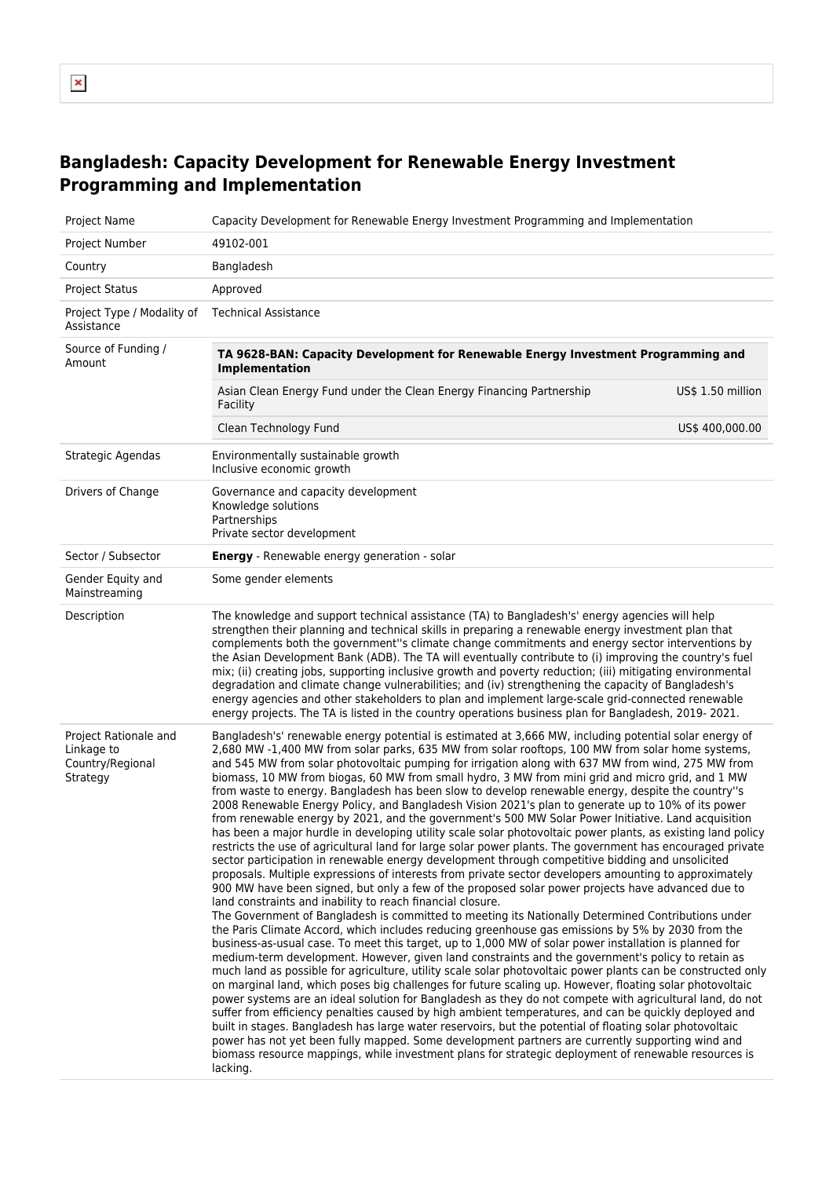## **Bangladesh: Capacity Development for Renewable Energy Investment Programming and Implementation**

| Project Name                                                        | Capacity Development for Renewable Energy Investment Programming and Implementation                                                                                                                                                                                                                                                                                                                                                                                                                                                                                                                                                                                                                                                                                                                                                                                                                                                                                                                                                                                                                                                                                                                                                                                                                                                                                                                                                                                                                                                                                                                                                                                                                                                                                                                                                                                                                                                                                                                                                                                                                                                                                                                                                                                                                                                                                                                                                                                                                                                                                  |                   |  |  |  |  |
|---------------------------------------------------------------------|----------------------------------------------------------------------------------------------------------------------------------------------------------------------------------------------------------------------------------------------------------------------------------------------------------------------------------------------------------------------------------------------------------------------------------------------------------------------------------------------------------------------------------------------------------------------------------------------------------------------------------------------------------------------------------------------------------------------------------------------------------------------------------------------------------------------------------------------------------------------------------------------------------------------------------------------------------------------------------------------------------------------------------------------------------------------------------------------------------------------------------------------------------------------------------------------------------------------------------------------------------------------------------------------------------------------------------------------------------------------------------------------------------------------------------------------------------------------------------------------------------------------------------------------------------------------------------------------------------------------------------------------------------------------------------------------------------------------------------------------------------------------------------------------------------------------------------------------------------------------------------------------------------------------------------------------------------------------------------------------------------------------------------------------------------------------------------------------------------------------------------------------------------------------------------------------------------------------------------------------------------------------------------------------------------------------------------------------------------------------------------------------------------------------------------------------------------------------------------------------------------------------------------------------------------------------|-------------------|--|--|--|--|
| Project Number                                                      | 49102-001                                                                                                                                                                                                                                                                                                                                                                                                                                                                                                                                                                                                                                                                                                                                                                                                                                                                                                                                                                                                                                                                                                                                                                                                                                                                                                                                                                                                                                                                                                                                                                                                                                                                                                                                                                                                                                                                                                                                                                                                                                                                                                                                                                                                                                                                                                                                                                                                                                                                                                                                                            |                   |  |  |  |  |
| Country                                                             | Bangladesh                                                                                                                                                                                                                                                                                                                                                                                                                                                                                                                                                                                                                                                                                                                                                                                                                                                                                                                                                                                                                                                                                                                                                                                                                                                                                                                                                                                                                                                                                                                                                                                                                                                                                                                                                                                                                                                                                                                                                                                                                                                                                                                                                                                                                                                                                                                                                                                                                                                                                                                                                           |                   |  |  |  |  |
| <b>Project Status</b>                                               | Approved                                                                                                                                                                                                                                                                                                                                                                                                                                                                                                                                                                                                                                                                                                                                                                                                                                                                                                                                                                                                                                                                                                                                                                                                                                                                                                                                                                                                                                                                                                                                                                                                                                                                                                                                                                                                                                                                                                                                                                                                                                                                                                                                                                                                                                                                                                                                                                                                                                                                                                                                                             |                   |  |  |  |  |
| Project Type / Modality of<br>Assistance                            | <b>Technical Assistance</b>                                                                                                                                                                                                                                                                                                                                                                                                                                                                                                                                                                                                                                                                                                                                                                                                                                                                                                                                                                                                                                                                                                                                                                                                                                                                                                                                                                                                                                                                                                                                                                                                                                                                                                                                                                                                                                                                                                                                                                                                                                                                                                                                                                                                                                                                                                                                                                                                                                                                                                                                          |                   |  |  |  |  |
| Source of Funding /<br>Amount                                       | TA 9628-BAN: Capacity Development for Renewable Energy Investment Programming and<br>Implementation                                                                                                                                                                                                                                                                                                                                                                                                                                                                                                                                                                                                                                                                                                                                                                                                                                                                                                                                                                                                                                                                                                                                                                                                                                                                                                                                                                                                                                                                                                                                                                                                                                                                                                                                                                                                                                                                                                                                                                                                                                                                                                                                                                                                                                                                                                                                                                                                                                                                  |                   |  |  |  |  |
|                                                                     | Asian Clean Energy Fund under the Clean Energy Financing Partnership<br>Facility                                                                                                                                                                                                                                                                                                                                                                                                                                                                                                                                                                                                                                                                                                                                                                                                                                                                                                                                                                                                                                                                                                                                                                                                                                                                                                                                                                                                                                                                                                                                                                                                                                                                                                                                                                                                                                                                                                                                                                                                                                                                                                                                                                                                                                                                                                                                                                                                                                                                                     | US\$ 1.50 million |  |  |  |  |
|                                                                     | Clean Technology Fund                                                                                                                                                                                                                                                                                                                                                                                                                                                                                                                                                                                                                                                                                                                                                                                                                                                                                                                                                                                                                                                                                                                                                                                                                                                                                                                                                                                                                                                                                                                                                                                                                                                                                                                                                                                                                                                                                                                                                                                                                                                                                                                                                                                                                                                                                                                                                                                                                                                                                                                                                | US\$ 400,000.00   |  |  |  |  |
| Strategic Agendas                                                   | Environmentally sustainable growth<br>Inclusive economic growth                                                                                                                                                                                                                                                                                                                                                                                                                                                                                                                                                                                                                                                                                                                                                                                                                                                                                                                                                                                                                                                                                                                                                                                                                                                                                                                                                                                                                                                                                                                                                                                                                                                                                                                                                                                                                                                                                                                                                                                                                                                                                                                                                                                                                                                                                                                                                                                                                                                                                                      |                   |  |  |  |  |
| Drivers of Change                                                   | Governance and capacity development<br>Knowledge solutions<br>Partnerships<br>Private sector development                                                                                                                                                                                                                                                                                                                                                                                                                                                                                                                                                                                                                                                                                                                                                                                                                                                                                                                                                                                                                                                                                                                                                                                                                                                                                                                                                                                                                                                                                                                                                                                                                                                                                                                                                                                                                                                                                                                                                                                                                                                                                                                                                                                                                                                                                                                                                                                                                                                             |                   |  |  |  |  |
| Sector / Subsector                                                  | Energy - Renewable energy generation - solar                                                                                                                                                                                                                                                                                                                                                                                                                                                                                                                                                                                                                                                                                                                                                                                                                                                                                                                                                                                                                                                                                                                                                                                                                                                                                                                                                                                                                                                                                                                                                                                                                                                                                                                                                                                                                                                                                                                                                                                                                                                                                                                                                                                                                                                                                                                                                                                                                                                                                                                         |                   |  |  |  |  |
| Gender Equity and<br>Mainstreaming                                  | Some gender elements                                                                                                                                                                                                                                                                                                                                                                                                                                                                                                                                                                                                                                                                                                                                                                                                                                                                                                                                                                                                                                                                                                                                                                                                                                                                                                                                                                                                                                                                                                                                                                                                                                                                                                                                                                                                                                                                                                                                                                                                                                                                                                                                                                                                                                                                                                                                                                                                                                                                                                                                                 |                   |  |  |  |  |
| Description                                                         | The knowledge and support technical assistance (TA) to Bangladesh's' energy agencies will help<br>strengthen their planning and technical skills in preparing a renewable energy investment plan that<br>complements both the government"s climate change commitments and energy sector interventions by<br>the Asian Development Bank (ADB). The TA will eventually contribute to (i) improving the country's fuel<br>mix; (ii) creating jobs, supporting inclusive growth and poverty reduction; (iii) mitigating environmental<br>degradation and climate change vulnerabilities; and (iv) strengthening the capacity of Bangladesh's<br>energy agencies and other stakeholders to plan and implement large-scale grid-connected renewable<br>energy projects. The TA is listed in the country operations business plan for Bangladesh, 2019-2021.                                                                                                                                                                                                                                                                                                                                                                                                                                                                                                                                                                                                                                                                                                                                                                                                                                                                                                                                                                                                                                                                                                                                                                                                                                                                                                                                                                                                                                                                                                                                                                                                                                                                                                                |                   |  |  |  |  |
| Project Rationale and<br>Linkage to<br>Country/Regional<br>Strategy | Bangladesh's' renewable energy potential is estimated at 3,666 MW, including potential solar energy of<br>2,680 MW -1,400 MW from solar parks, 635 MW from solar rooftops, 100 MW from solar home systems,<br>and 545 MW from solar photovoltaic pumping for irrigation along with 637 MW from wind, 275 MW from<br>biomass, 10 MW from biogas, 60 MW from small hydro, 3 MW from mini grid and micro grid, and 1 MW<br>from waste to energy. Bangladesh has been slow to develop renewable energy, despite the country"s<br>2008 Renewable Energy Policy, and Bangladesh Vision 2021's plan to generate up to 10% of its power<br>from renewable energy by 2021, and the government's 500 MW Solar Power Initiative. Land acquisition<br>has been a major hurdle in developing utility scale solar photovoltaic power plants, as existing land policy<br>restricts the use of agricultural land for large solar power plants. The government has encouraged private<br>sector participation in renewable energy development through competitive bidding and unsolicited<br>proposals. Multiple expressions of interests from private sector developers amounting to approximately<br>900 MW have been signed, but only a few of the proposed solar power projects have advanced due to<br>land constraints and inability to reach financial closure.<br>The Government of Bangladesh is committed to meeting its Nationally Determined Contributions under<br>the Paris Climate Accord, which includes reducing greenhouse gas emissions by 5% by 2030 from the<br>business-as-usual case. To meet this target, up to 1,000 MW of solar power installation is planned for<br>medium-term development. However, given land constraints and the government's policy to retain as<br>much land as possible for agriculture, utility scale solar photovoltaic power plants can be constructed only<br>on marginal land, which poses big challenges for future scaling up. However, floating solar photovoltaic<br>power systems are an ideal solution for Bangladesh as they do not compete with agricultural land, do not<br>suffer from efficiency penalties caused by high ambient temperatures, and can be quickly deployed and<br>built in stages. Bangladesh has large water reservoirs, but the potential of floating solar photovoltaic<br>power has not yet been fully mapped. Some development partners are currently supporting wind and<br>biomass resource mappings, while investment plans for strategic deployment of renewable resources is<br>lacking. |                   |  |  |  |  |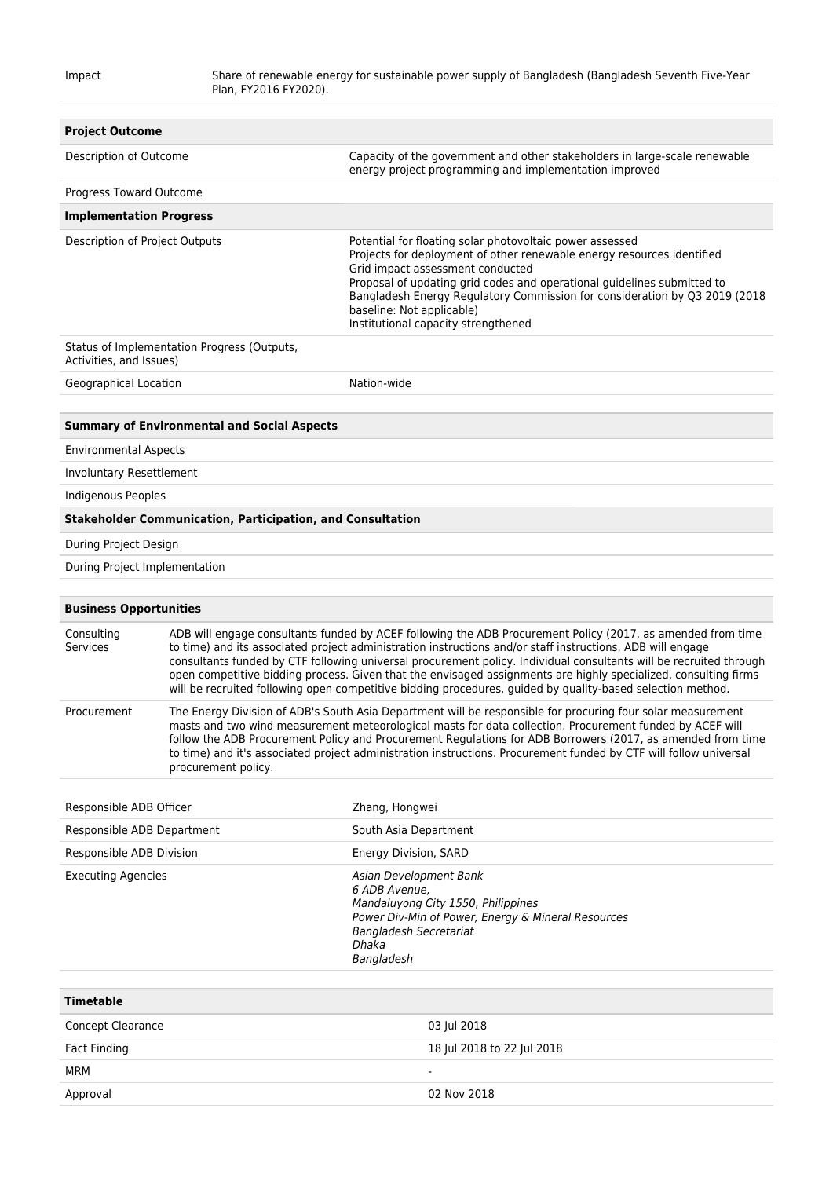| <b>Project Outcome</b>         |                                                                                                                                                                                                                                                                                                                                                                                                                                                                                                                                                                                  |                                                                                                                                                                                                                                                                                                                                                                                                     |  |  |  |
|--------------------------------|----------------------------------------------------------------------------------------------------------------------------------------------------------------------------------------------------------------------------------------------------------------------------------------------------------------------------------------------------------------------------------------------------------------------------------------------------------------------------------------------------------------------------------------------------------------------------------|-----------------------------------------------------------------------------------------------------------------------------------------------------------------------------------------------------------------------------------------------------------------------------------------------------------------------------------------------------------------------------------------------------|--|--|--|
| Description of Outcome         |                                                                                                                                                                                                                                                                                                                                                                                                                                                                                                                                                                                  | Capacity of the government and other stakeholders in large-scale renewable<br>energy project programming and implementation improved                                                                                                                                                                                                                                                                |  |  |  |
| Progress Toward Outcome        |                                                                                                                                                                                                                                                                                                                                                                                                                                                                                                                                                                                  |                                                                                                                                                                                                                                                                                                                                                                                                     |  |  |  |
| <b>Implementation Progress</b> |                                                                                                                                                                                                                                                                                                                                                                                                                                                                                                                                                                                  |                                                                                                                                                                                                                                                                                                                                                                                                     |  |  |  |
| Description of Project Outputs |                                                                                                                                                                                                                                                                                                                                                                                                                                                                                                                                                                                  | Potential for floating solar photovoltaic power assessed<br>Projects for deployment of other renewable energy resources identified<br>Grid impact assessment conducted<br>Proposal of updating grid codes and operational guidelines submitted to<br>Bangladesh Energy Regulatory Commission for consideration by Q3 2019 (2018<br>baseline: Not applicable)<br>Institutional capacity strengthened |  |  |  |
| Activities, and Issues)        | Status of Implementation Progress (Outputs,                                                                                                                                                                                                                                                                                                                                                                                                                                                                                                                                      |                                                                                                                                                                                                                                                                                                                                                                                                     |  |  |  |
| Geographical Location          |                                                                                                                                                                                                                                                                                                                                                                                                                                                                                                                                                                                  | Nation-wide                                                                                                                                                                                                                                                                                                                                                                                         |  |  |  |
|                                |                                                                                                                                                                                                                                                                                                                                                                                                                                                                                                                                                                                  |                                                                                                                                                                                                                                                                                                                                                                                                     |  |  |  |
|                                | <b>Summary of Environmental and Social Aspects</b>                                                                                                                                                                                                                                                                                                                                                                                                                                                                                                                               |                                                                                                                                                                                                                                                                                                                                                                                                     |  |  |  |
| <b>Environmental Aspects</b>   |                                                                                                                                                                                                                                                                                                                                                                                                                                                                                                                                                                                  |                                                                                                                                                                                                                                                                                                                                                                                                     |  |  |  |
| Involuntary Resettlement       |                                                                                                                                                                                                                                                                                                                                                                                                                                                                                                                                                                                  |                                                                                                                                                                                                                                                                                                                                                                                                     |  |  |  |
| Indigenous Peoples             |                                                                                                                                                                                                                                                                                                                                                                                                                                                                                                                                                                                  |                                                                                                                                                                                                                                                                                                                                                                                                     |  |  |  |
|                                | <b>Stakeholder Communication, Participation, and Consultation</b>                                                                                                                                                                                                                                                                                                                                                                                                                                                                                                                |                                                                                                                                                                                                                                                                                                                                                                                                     |  |  |  |
| During Project Design          |                                                                                                                                                                                                                                                                                                                                                                                                                                                                                                                                                                                  |                                                                                                                                                                                                                                                                                                                                                                                                     |  |  |  |
| During Project Implementation  |                                                                                                                                                                                                                                                                                                                                                                                                                                                                                                                                                                                  |                                                                                                                                                                                                                                                                                                                                                                                                     |  |  |  |
|                                |                                                                                                                                                                                                                                                                                                                                                                                                                                                                                                                                                                                  |                                                                                                                                                                                                                                                                                                                                                                                                     |  |  |  |
| <b>Business Opportunities</b>  |                                                                                                                                                                                                                                                                                                                                                                                                                                                                                                                                                                                  |                                                                                                                                                                                                                                                                                                                                                                                                     |  |  |  |
| Consulting<br><b>Services</b>  | ADB will engage consultants funded by ACEF following the ADB Procurement Policy (2017, as amended from time<br>to time) and its associated project administration instructions and/or staff instructions. ADB will engage<br>consultants funded by CTF following universal procurement policy. Individual consultants will be recruited through<br>open competitive bidding process. Given that the envisaged assignments are highly specialized, consulting firms<br>will be recruited following open competitive bidding procedures, quided by quality-based selection method. |                                                                                                                                                                                                                                                                                                                                                                                                     |  |  |  |
| Procurement                    | The Energy Division of ADB's South Asia Department will be responsible for procuring four solar measurement<br>masts and two wind measurement meteorological masts for data collection. Procurement funded by ACEF will<br>follow the ADB Procurement Policy and Procurement Regulations for ADB Borrowers (2017, as amended from time<br>to time) and it's associated project administration instructions. Procurement funded by CTF will follow universal<br>procurement policy.                                                                                               |                                                                                                                                                                                                                                                                                                                                                                                                     |  |  |  |
| Responsible ADB Officer        |                                                                                                                                                                                                                                                                                                                                                                                                                                                                                                                                                                                  | Zhang, Hongwei                                                                                                                                                                                                                                                                                                                                                                                      |  |  |  |
| Responsible ADB Department     |                                                                                                                                                                                                                                                                                                                                                                                                                                                                                                                                                                                  | South Asia Department                                                                                                                                                                                                                                                                                                                                                                               |  |  |  |
| Responsible ADB Division       |                                                                                                                                                                                                                                                                                                                                                                                                                                                                                                                                                                                  | Energy Division, SARD                                                                                                                                                                                                                                                                                                                                                                               |  |  |  |
| <b>Executing Agencies</b>      |                                                                                                                                                                                                                                                                                                                                                                                                                                                                                                                                                                                  | Asian Development Bank<br>6 ADB Avenue,<br>Mandaluyong City 1550, Philippines<br>Power Div-Min of Power, Energy & Mineral Resources<br>Bangladesh Secretariat                                                                                                                                                                                                                                       |  |  |  |

| <b>Timetable</b>    |                            |
|---------------------|----------------------------|
| Concept Clearance   | 03 Jul 2018                |
| <b>Fact Finding</b> | 18 Jul 2018 to 22 Jul 2018 |
| MRM                 | $\overline{\phantom{a}}$   |
| Approval            | 02 Nov 2018                |

Dhaka Bangladesh